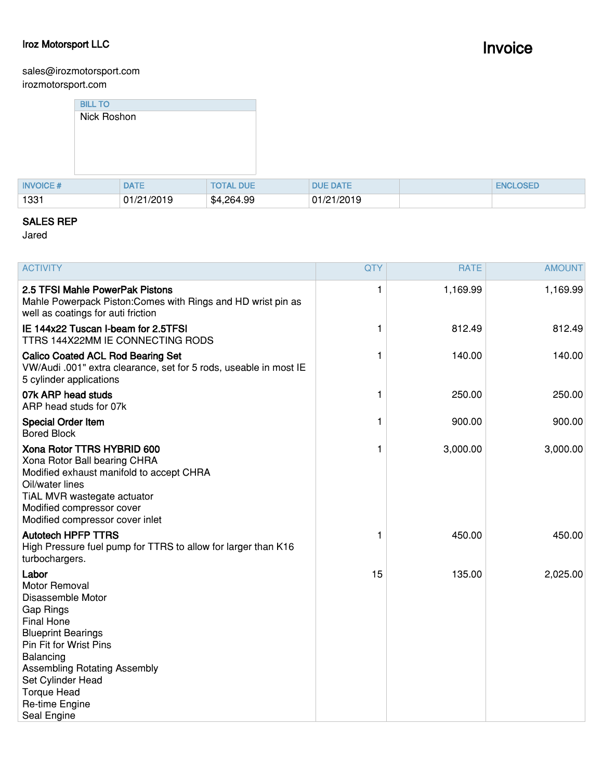## **Iroz Motorsport LLC**

## **Invoice**

sales@irozmotorsport.com irozmotorsport.com

|                 | <b>BILL TO</b> |             |                  |  |                 |                 |
|-----------------|----------------|-------------|------------------|--|-----------------|-----------------|
|                 | Nick Roshon    |             |                  |  |                 |                 |
|                 |                |             |                  |  |                 |                 |
|                 |                |             |                  |  |                 |                 |
|                 |                |             |                  |  |                 |                 |
|                 |                |             |                  |  |                 |                 |
| <b>INVOICE#</b> |                | <b>DATE</b> | <b>TOTAL DUE</b> |  | <b>DUE DATE</b> | <b>ENCLOSED</b> |
| 1331            |                | 01/21/2019  | \$4,264.99       |  | 01/21/2019      |                 |

## **SALES REP**

Jared

| <b>ACTIVITY</b>                                                                                                                                                                                                                                                             | <b>QTY</b> | <b>RATE</b> | <b>AMOUNT</b> |
|-----------------------------------------------------------------------------------------------------------------------------------------------------------------------------------------------------------------------------------------------------------------------------|------------|-------------|---------------|
| 2.5 TFSI Mahle PowerPak Pistons<br>Mahle Powerpack Piston: Comes with Rings and HD wrist pin as<br>well as coatings for auti friction                                                                                                                                       | 1          | 1,169.99    | 1,169.99      |
| IE 144x22 Tuscan I-beam for 2.5TFSI<br>TTRS 144X22MM IE CONNECTING RODS                                                                                                                                                                                                     | 1          | 812.49      | 812.49        |
| <b>Calico Coated ACL Rod Bearing Set</b><br>VW/Audi .001" extra clearance, set for 5 rods, useable in most IE<br>5 cylinder applications                                                                                                                                    |            | 140.00      | 140.00        |
| 07k ARP head studs<br>ARP head studs for 07k                                                                                                                                                                                                                                | 1          | 250.00      | 250.00        |
| <b>Special Order Item</b><br><b>Bored Block</b>                                                                                                                                                                                                                             | 1          | 900.00      | 900.00        |
| Xona Rotor TTRS HYBRID 600<br>Xona Rotor Ball bearing CHRA<br>Modified exhaust manifold to accept CHRA<br>Oil/water lines<br>TiAL MVR wastegate actuator<br>Modified compressor cover<br>Modified compressor cover inlet                                                    | 1          | 3,000.00    | 3,000.00      |
| <b>Autotech HPFP TTRS</b><br>High Pressure fuel pump for TTRS to allow for larger than K16<br>turbochargers.                                                                                                                                                                | 1          | 450.00      | 450.00        |
| Labor<br><b>Motor Removal</b><br>Disassemble Motor<br>Gap Rings<br><b>Final Hone</b><br><b>Blueprint Bearings</b><br>Pin Fit for Wrist Pins<br>Balancing<br><b>Assembling Rotating Assembly</b><br>Set Cylinder Head<br><b>Torque Head</b><br>Re-time Engine<br>Seal Engine | 15         | 135.00      | 2,025.00      |